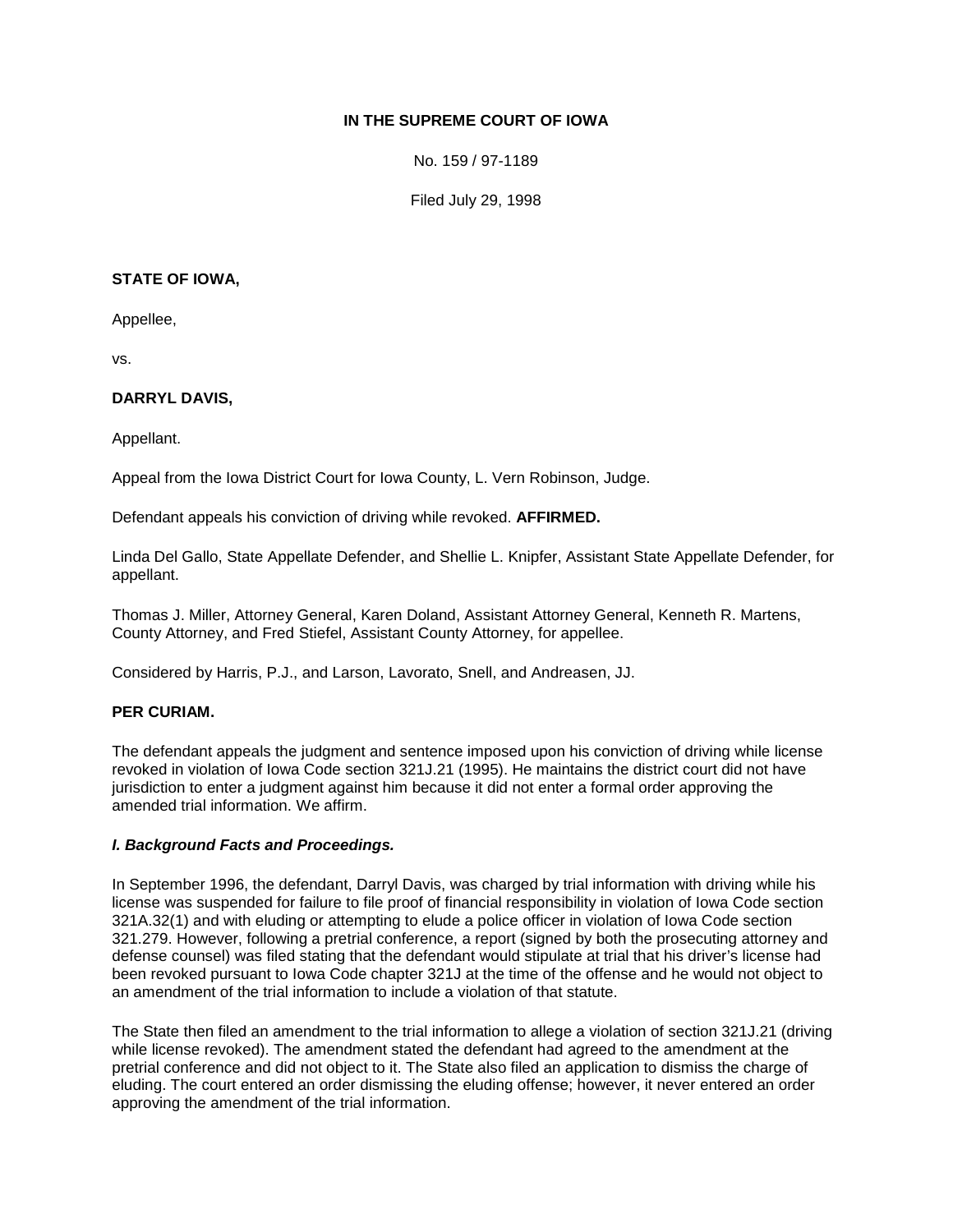## **IN THE SUPREME COURT OF IOWA**

No. 159 / 97-1189

Filed July 29, 1998

#### **STATE OF IOWA,**

Appellee,

vs.

### **DARRYL DAVIS,**

Appellant.

Appeal from the Iowa District Court for Iowa County, L. Vern Robinson, Judge.

Defendant appeals his conviction of driving while revoked. **AFFIRMED.**

Linda Del Gallo, State Appellate Defender, and Shellie L. Knipfer, Assistant State Appellate Defender, for appellant.

Thomas J. Miller, Attorney General, Karen Doland, Assistant Attorney General, Kenneth R. Martens, County Attorney, and Fred Stiefel, Assistant County Attorney, for appellee.

Considered by Harris, P.J., and Larson, Lavorato, Snell, and Andreasen, JJ.

# **PER CURIAM.**

The defendant appeals the judgment and sentence imposed upon his conviction of driving while license revoked in violation of Iowa Code section 321J.21 (1995). He maintains the district court did not have jurisdiction to enter a judgment against him because it did not enter a formal order approving the amended trial information. We affirm.

#### *I. Background Facts and Proceedings.*

In September 1996, the defendant, Darryl Davis, was charged by trial information with driving while his license was suspended for failure to file proof of financial responsibility in violation of Iowa Code section 321A.32(1) and with eluding or attempting to elude a police officer in violation of Iowa Code section 321.279. However, following a pretrial conference, a report (signed by both the prosecuting attorney and defense counsel) was filed stating that the defendant would stipulate at trial that his driver's license had been revoked pursuant to Iowa Code chapter 321J at the time of the offense and he would not object to an amendment of the trial information to include a violation of that statute.

The State then filed an amendment to the trial information to allege a violation of section 321J.21 (driving while license revoked). The amendment stated the defendant had agreed to the amendment at the pretrial conference and did not object to it. The State also filed an application to dismiss the charge of eluding. The court entered an order dismissing the eluding offense; however, it never entered an order approving the amendment of the trial information.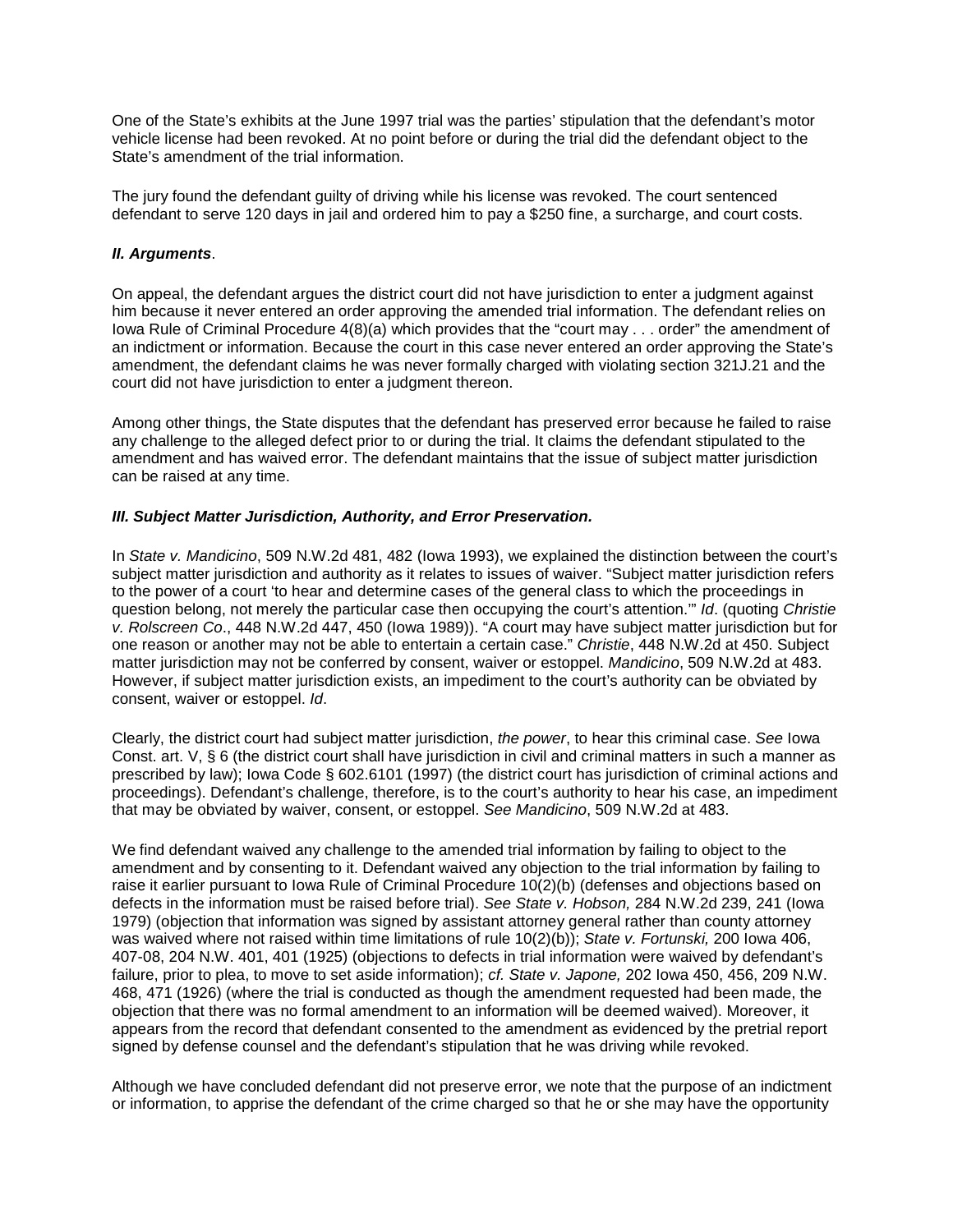One of the State's exhibits at the June 1997 trial was the parties' stipulation that the defendant's motor vehicle license had been revoked. At no point before or during the trial did the defendant object to the State's amendment of the trial information.

The jury found the defendant guilty of driving while his license was revoked. The court sentenced defendant to serve 120 days in jail and ordered him to pay a \$250 fine, a surcharge, and court costs.

#### *II. Arguments*.

On appeal, the defendant argues the district court did not have jurisdiction to enter a judgment against him because it never entered an order approving the amended trial information. The defendant relies on Iowa Rule of Criminal Procedure 4(8)(a) which provides that the "court may . . . order" the amendment of an indictment or information. Because the court in this case never entered an order approving the State's amendment, the defendant claims he was never formally charged with violating section 321J.21 and the court did not have jurisdiction to enter a judgment thereon.

Among other things, the State disputes that the defendant has preserved error because he failed to raise any challenge to the alleged defect prior to or during the trial. It claims the defendant stipulated to the amendment and has waived error. The defendant maintains that the issue of subject matter jurisdiction can be raised at any time.

#### *III. Subject Matter Jurisdiction, Authority, and Error Preservation.*

In *State v. Mandicino*, 509 N.W.2d 481, 482 (Iowa 1993), we explained the distinction between the court's subject matter jurisdiction and authority as it relates to issues of waiver. "Subject matter jurisdiction refers to the power of a court 'to hear and determine cases of the general class to which the proceedings in question belong, not merely the particular case then occupying the court's attention.'" *Id*. (quoting *Christie v. Rolscreen Co*., 448 N.W.2d 447, 450 (Iowa 1989)). "A court may have subject matter jurisdiction but for one reason or another may not be able to entertain a certain case." *Christie*, 448 N.W.2d at 450. Subject matter jurisdiction may not be conferred by consent, waiver or estoppel. *Mandicino*, 509 N.W.2d at 483. However, if subject matter jurisdiction exists, an impediment to the court's authority can be obviated by consent, waiver or estoppel. *Id*.

Clearly, the district court had subject matter jurisdiction, *the power*, to hear this criminal case. *See* Iowa Const. art. V, § 6 (the district court shall have jurisdiction in civil and criminal matters in such a manner as prescribed by law); Iowa Code § 602.6101 (1997) (the district court has jurisdiction of criminal actions and proceedings). Defendant's challenge, therefore, is to the court's authority to hear his case, an impediment that may be obviated by waiver, consent, or estoppel. *See Mandicino*, 509 N.W.2d at 483.

We find defendant waived any challenge to the amended trial information by failing to object to the amendment and by consenting to it. Defendant waived any objection to the trial information by failing to raise it earlier pursuant to Iowa Rule of Criminal Procedure 10(2)(b) (defenses and objections based on defects in the information must be raised before trial). *See State v. Hobson,* 284 N.W.2d 239, 241 (Iowa 1979) (objection that information was signed by assistant attorney general rather than county attorney was waived where not raised within time limitations of rule 10(2)(b)); *State v. Fortunski,* 200 Iowa 406, 407-08, 204 N.W. 401, 401 (1925) (objections to defects in trial information were waived by defendant's failure, prior to plea, to move to set aside information); *cf. State v. Japone,* 202 Iowa 450, 456, 209 N.W. 468, 471 (1926) (where the trial is conducted as though the amendment requested had been made, the objection that there was no formal amendment to an information will be deemed waived). Moreover, it appears from the record that defendant consented to the amendment as evidenced by the pretrial report signed by defense counsel and the defendant's stipulation that he was driving while revoked.

Although we have concluded defendant did not preserve error, we note that the purpose of an indictment or information, to apprise the defendant of the crime charged so that he or she may have the opportunity